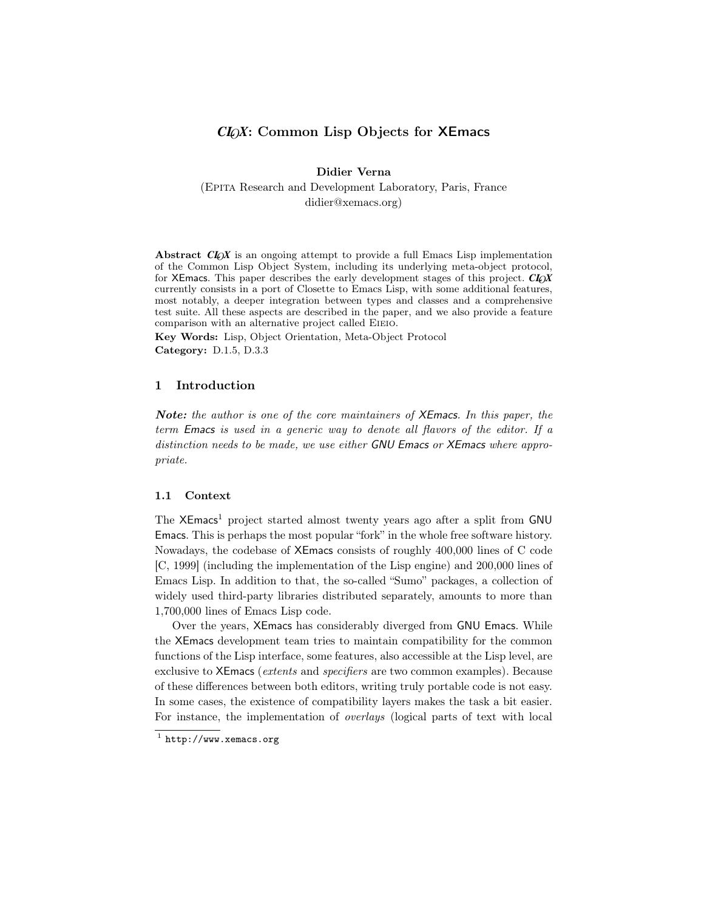# *CL*O*X*: Common Lisp Objects for XEmacs

Didier Verna (Epita Research and Development Laboratory, Paris, France didier@xemacs.org)

Abstract  $CI_0X$  is an ongoing attempt to provide a full Emacs Lisp implementation of the Common Lisp Object System, including its underlying meta-object protocol, for XEmacs. This paper describes the early development stages of this project. *CL*O*X* currently consists in a port of Closette to Emacs Lisp, with some additional features, most notably, a deeper integration between types and classes and a comprehensive test suite. All these aspects are described in the paper, and we also provide a feature comparison with an alternative project called Eieio.

Key Words: Lisp, Object Orientation, Meta-Object Protocol Category: D.1.5, D.3.3

# 1 Introduction

Note: the author is one of the core maintainers of XEmacs. In this paper, the term Emacs is used in a generic way to denote all flavors of the editor. If a distinction needs to be made, we use either GNU Emacs or XEmacs where appropriate.

### 1.1 Context

The XEmacs<sup>1</sup> project started almost twenty years ago after a split from GNU Emacs. This is perhaps the most popular "fork" in the whole free software history. Nowadays, the codebase of XEmacs consists of roughly 400,000 lines of C code [C, 1999] (including the implementation of the Lisp engine) and 200,000 lines of Emacs Lisp. In addition to that, the so-called "Sumo" packages, a collection of widely used third-party libraries distributed separately, amounts to more than 1,700,000 lines of Emacs Lisp code.

Over the years, XEmacs has considerably diverged from GNU Emacs. While the XEmacs development team tries to maintain compatibility for the common functions of the Lisp interface, some features, also accessible at the Lisp level, are exclusive to XEmacs (extents and specifiers are two common examples). Because of these differences between both editors, writing truly portable code is not easy. In some cases, the existence of compatibility layers makes the task a bit easier. For instance, the implementation of overlays (logical parts of text with local

 $1$  http://www.xemacs.org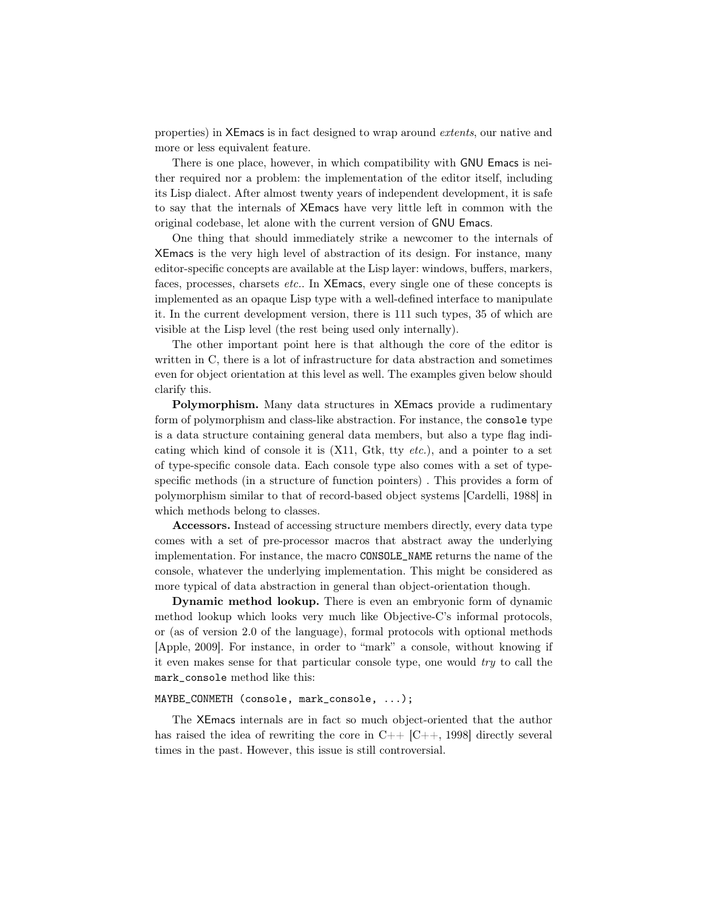properties) in XEmacs is in fact designed to wrap around extents, our native and more or less equivalent feature.

There is one place, however, in which compatibility with GNU Emacs is neither required nor a problem: the implementation of the editor itself, including its Lisp dialect. After almost twenty years of independent development, it is safe to say that the internals of XEmacs have very little left in common with the original codebase, let alone with the current version of GNU Emacs.

One thing that should immediately strike a newcomer to the internals of XEmacs is the very high level of abstraction of its design. For instance, many editor-specific concepts are available at the Lisp layer: windows, buffers, markers, faces, processes, charsets etc.. In XEmacs, every single one of these concepts is implemented as an opaque Lisp type with a well-defined interface to manipulate it. In the current development version, there is 111 such types, 35 of which are visible at the Lisp level (the rest being used only internally).

The other important point here is that although the core of the editor is written in C, there is a lot of infrastructure for data abstraction and sometimes even for object orientation at this level as well. The examples given below should clarify this.

Polymorphism. Many data structures in XEmacs provide a rudimentary form of polymorphism and class-like abstraction. For instance, the console type is a data structure containing general data members, but also a type flag indicating which kind of console it is  $(X11, Gtk, ty etc.),$  and a pointer to a set of type-specific console data. Each console type also comes with a set of typespecific methods (in a structure of function pointers) . This provides a form of polymorphism similar to that of record-based object systems [Cardelli, 1988] in which methods belong to classes.

Accessors. Instead of accessing structure members directly, every data type comes with a set of pre-processor macros that abstract away the underlying implementation. For instance, the macro CONSOLE\_NAME returns the name of the console, whatever the underlying implementation. This might be considered as more typical of data abstraction in general than object-orientation though.

Dynamic method lookup. There is even an embryonic form of dynamic method lookup which looks very much like Objective-C's informal protocols, or (as of version 2.0 of the language), formal protocols with optional methods [Apple, 2009]. For instance, in order to "mark" a console, without knowing if it even makes sense for that particular console type, one would try to call the mark\_console method like this:

#### MAYBE\_CONMETH (console, mark\_console, ...);

The XEmacs internals are in fact so much object-oriented that the author has raised the idea of rewriting the core in  $C_{++}$  [C++, 1998] directly several times in the past. However, this issue is still controversial.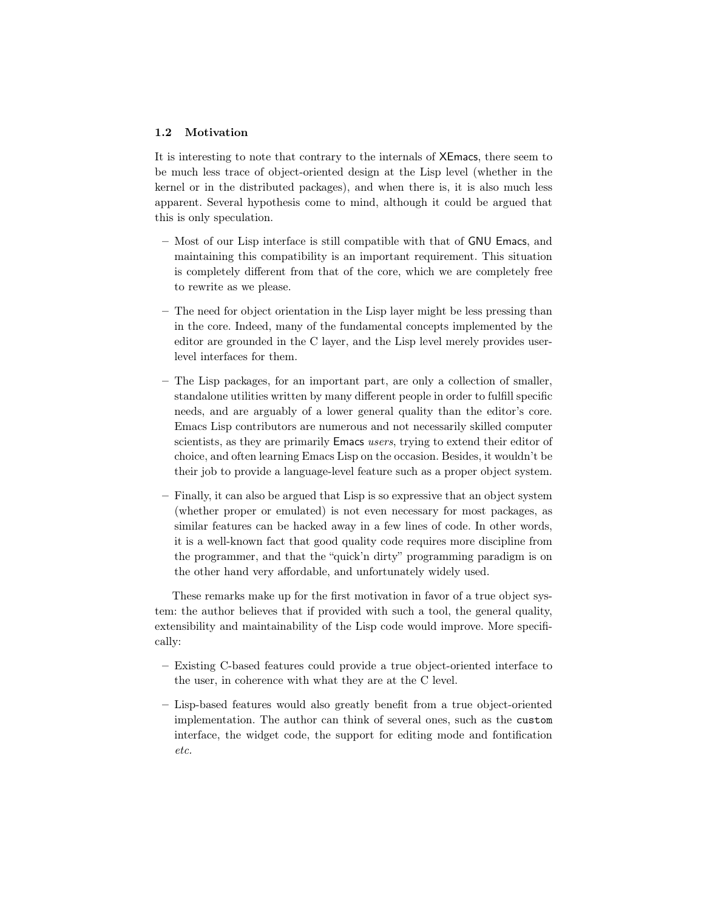# 1.2 Motivation

It is interesting to note that contrary to the internals of XEmacs, there seem to be much less trace of object-oriented design at the Lisp level (whether in the kernel or in the distributed packages), and when there is, it is also much less apparent. Several hypothesis come to mind, although it could be argued that this is only speculation.

- Most of our Lisp interface is still compatible with that of GNU Emacs, and maintaining this compatibility is an important requirement. This situation is completely different from that of the core, which we are completely free to rewrite as we please.
- The need for object orientation in the Lisp layer might be less pressing than in the core. Indeed, many of the fundamental concepts implemented by the editor are grounded in the C layer, and the Lisp level merely provides userlevel interfaces for them.
- The Lisp packages, for an important part, are only a collection of smaller, standalone utilities written by many different people in order to fulfill specific needs, and are arguably of a lower general quality than the editor's core. Emacs Lisp contributors are numerous and not necessarily skilled computer scientists, as they are primarily Emacs users, trying to extend their editor of choice, and often learning Emacs Lisp on the occasion. Besides, it wouldn't be their job to provide a language-level feature such as a proper object system.
- Finally, it can also be argued that Lisp is so expressive that an object system (whether proper or emulated) is not even necessary for most packages, as similar features can be hacked away in a few lines of code. In other words, it is a well-known fact that good quality code requires more discipline from the programmer, and that the "quick'n dirty" programming paradigm is on the other hand very affordable, and unfortunately widely used.

These remarks make up for the first motivation in favor of a true object system: the author believes that if provided with such a tool, the general quality, extensibility and maintainability of the Lisp code would improve. More specifically:

- Existing C-based features could provide a true object-oriented interface to the user, in coherence with what they are at the C level.
- Lisp-based features would also greatly benefit from a true object-oriented implementation. The author can think of several ones, such as the custom interface, the widget code, the support for editing mode and fontification etc.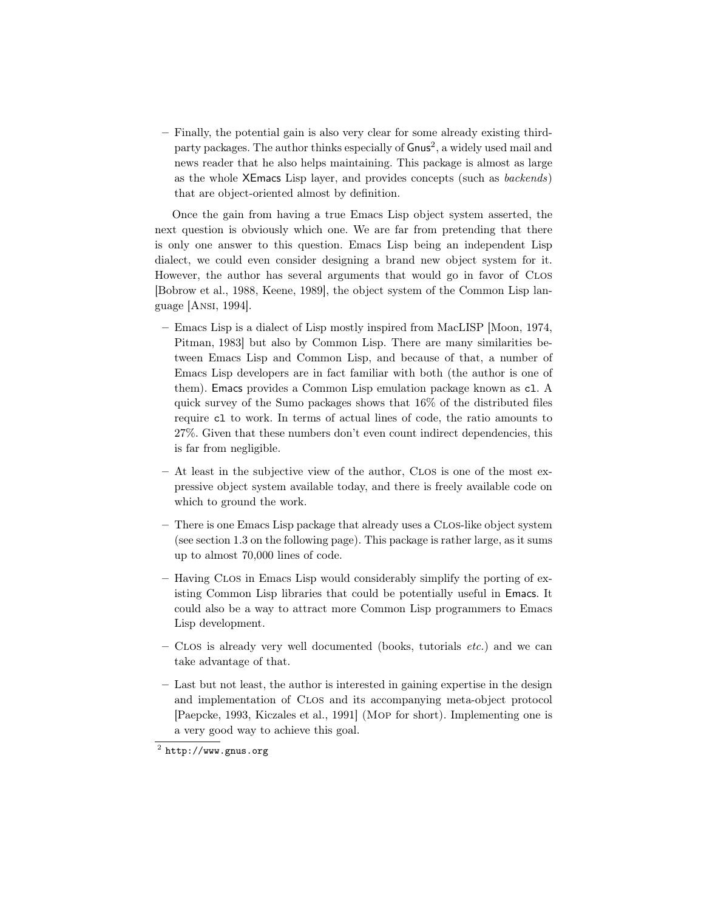– Finally, the potential gain is also very clear for some already existing thirdparty packages. The author thinks especially of Gnus<sup>2</sup>, a widely used mail and news reader that he also helps maintaining. This package is almost as large as the whole XEmacs Lisp layer, and provides concepts (such as backends) that are object-oriented almost by definition.

Once the gain from having a true Emacs Lisp object system asserted, the next question is obviously which one. We are far from pretending that there is only one answer to this question. Emacs Lisp being an independent Lisp dialect, we could even consider designing a brand new object system for it. However, the author has several arguments that would go in favor of Clos [Bobrow et al., 1988, Keene, 1989], the object system of the Common Lisp language [Ansi, 1994].

- Emacs Lisp is a dialect of Lisp mostly inspired from MacLISP [Moon, 1974, Pitman, 1983] but also by Common Lisp. There are many similarities between Emacs Lisp and Common Lisp, and because of that, a number of Emacs Lisp developers are in fact familiar with both (the author is one of them). Emacs provides a Common Lisp emulation package known as cl. A quick survey of the Sumo packages shows that 16% of the distributed files require cl to work. In terms of actual lines of code, the ratio amounts to 27%. Given that these numbers don't even count indirect dependencies, this is far from negligible.
- At least in the subjective view of the author, Clos is one of the most expressive object system available today, and there is freely available code on which to ground the work.
- There is one Emacs Lisp package that already uses a Clos-like object system (see section 1.3 on the following page). This package is rather large, as it sums up to almost 70,000 lines of code.
- Having Clos in Emacs Lisp would considerably simplify the porting of existing Common Lisp libraries that could be potentially useful in Emacs. It could also be a way to attract more Common Lisp programmers to Emacs Lisp development.
- $-$  CLOS is already very well documented (books, tutorials *etc.*) and we can take advantage of that.
- Last but not least, the author is interested in gaining expertise in the design and implementation of Clos and its accompanying meta-object protocol [Paepcke, 1993, Kiczales et al., 1991] (Mop for short). Implementing one is a very good way to achieve this goal.

 $^2$  http://www.gnus.org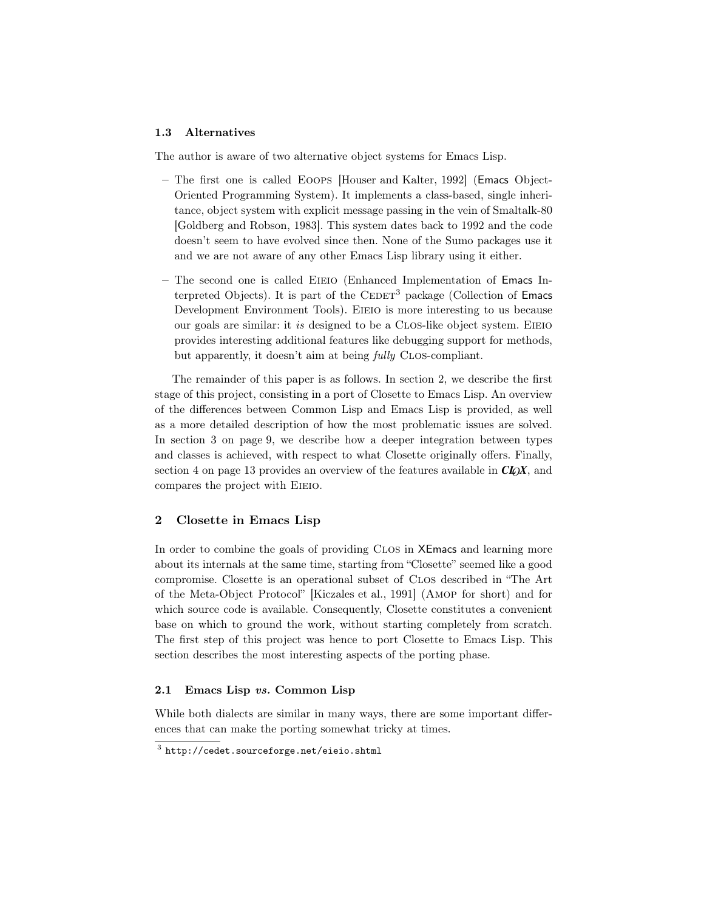### 1.3 Alternatives

The author is aware of two alternative object systems for Emacs Lisp.

- The first one is called Eoops [Houser and Kalter, 1992] (Emacs Object-Oriented Programming System). It implements a class-based, single inheritance, object system with explicit message passing in the vein of Smaltalk-80 [Goldberg and Robson, 1983]. This system dates back to 1992 and the code doesn't seem to have evolved since then. None of the Sumo packages use it and we are not aware of any other Emacs Lisp library using it either.
- The second one is called Eieio (Enhanced Implementation of Emacs Interpreted Objects). It is part of the  $CEDET<sup>3</sup>$  package (Collection of Emacs Development Environment Tools). Eieio is more interesting to us because our goals are similar: it is designed to be a CLOS-like object system. EIEIO provides interesting additional features like debugging support for methods, but apparently, it doesn't aim at being *fully* CLOS-compliant.

The remainder of this paper is as follows. In section 2, we describe the first stage of this project, consisting in a port of Closette to Emacs Lisp. An overview of the differences between Common Lisp and Emacs Lisp is provided, as well as a more detailed description of how the most problematic issues are solved. In section 3 on page 9, we describe how a deeper integration between types and classes is achieved, with respect to what Closette originally offers. Finally, section 4 on page 13 provides an overview of the features available in *CL*O*X*, and compares the project with EIEIO.

### 2 Closette in Emacs Lisp

In order to combine the goals of providing Clos in XEmacs and learning more about its internals at the same time, starting from "Closette" seemed like a good compromise. Closette is an operational subset of Clos described in "The Art of the Meta-Object Protocol" [Kiczales et al., 1991] (Amop for short) and for which source code is available. Consequently, Closette constitutes a convenient base on which to ground the work, without starting completely from scratch. The first step of this project was hence to port Closette to Emacs Lisp. This section describes the most interesting aspects of the porting phase.

# 2.1 Emacs Lisp vs. Common Lisp

While both dialects are similar in many ways, there are some important differences that can make the porting somewhat tricky at times.

 $^3$  http://cedet.sourceforge.net/eieio.shtml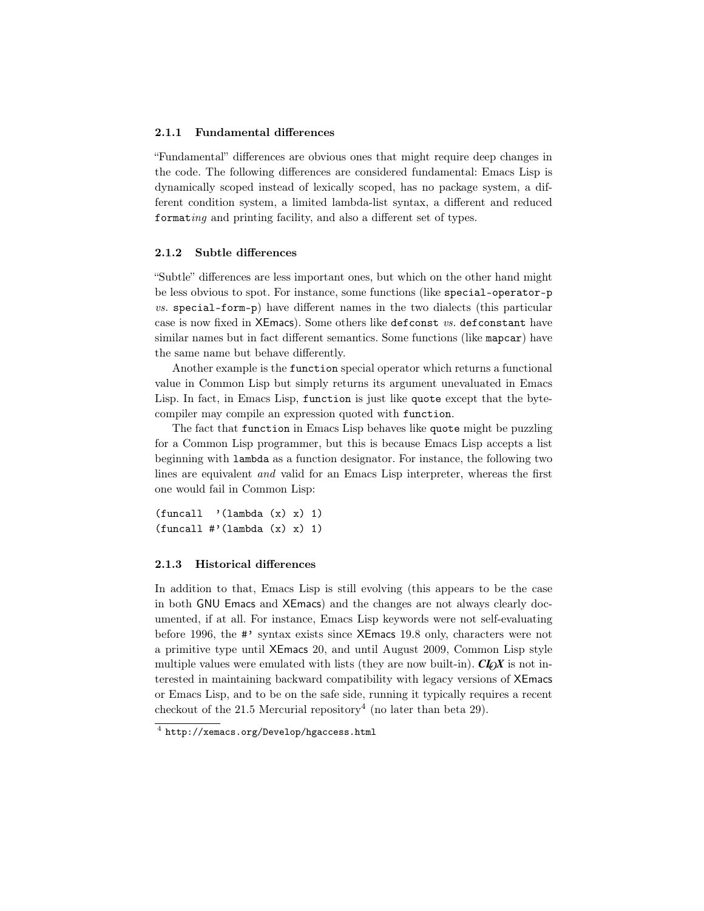### 2.1.1 Fundamental differences

"Fundamental" differences are obvious ones that might require deep changes in the code. The following differences are considered fundamental: Emacs Lisp is dynamically scoped instead of lexically scoped, has no package system, a different condition system, a limited lambda-list syntax, a different and reduced formating and printing facility, and also a different set of types.

# 2.1.2 Subtle differences

"Subtle" differences are less important ones, but which on the other hand might be less obvious to spot. For instance, some functions (like special-operator-p vs. special-form-p) have different names in the two dialects (this particular case is now fixed in XEmacs). Some others like defconst vs. defconstant have similar names but in fact different semantics. Some functions (like mapcar) have the same name but behave differently.

Another example is the function special operator which returns a functional value in Common Lisp but simply returns its argument unevaluated in Emacs Lisp. In fact, in Emacs Lisp, function is just like quote except that the bytecompiler may compile an expression quoted with function.

The fact that function in Emacs Lisp behaves like quote might be puzzling for a Common Lisp programmer, but this is because Emacs Lisp accepts a list beginning with lambda as a function designator. For instance, the following two lines are equivalent and valid for an Emacs Lisp interpreter, whereas the first one would fail in Common Lisp:

```
(funcall '(lambda (x) x) 1)
(funcall #'(lambda (x) x) 1)
```
### 2.1.3 Historical differences

In addition to that, Emacs Lisp is still evolving (this appears to be the case in both GNU Emacs and XEmacs) and the changes are not always clearly documented, if at all. For instance, Emacs Lisp keywords were not self-evaluating before 1996, the #' syntax exists since XEmacs 19.8 only, characters were not a primitive type until XEmacs 20, and until August 2009, Common Lisp style multiple values were emulated with lists (they are now built-in).  $\mathbf{C}L\mathbf{D}X$  is not interested in maintaining backward compatibility with legacy versions of XEmacs or Emacs Lisp, and to be on the safe side, running it typically requires a recent checkout of the 21.5 Mercurial repository<sup>4</sup> (no later than beta 29).

<sup>4</sup> http://xemacs.org/Develop/hgaccess.html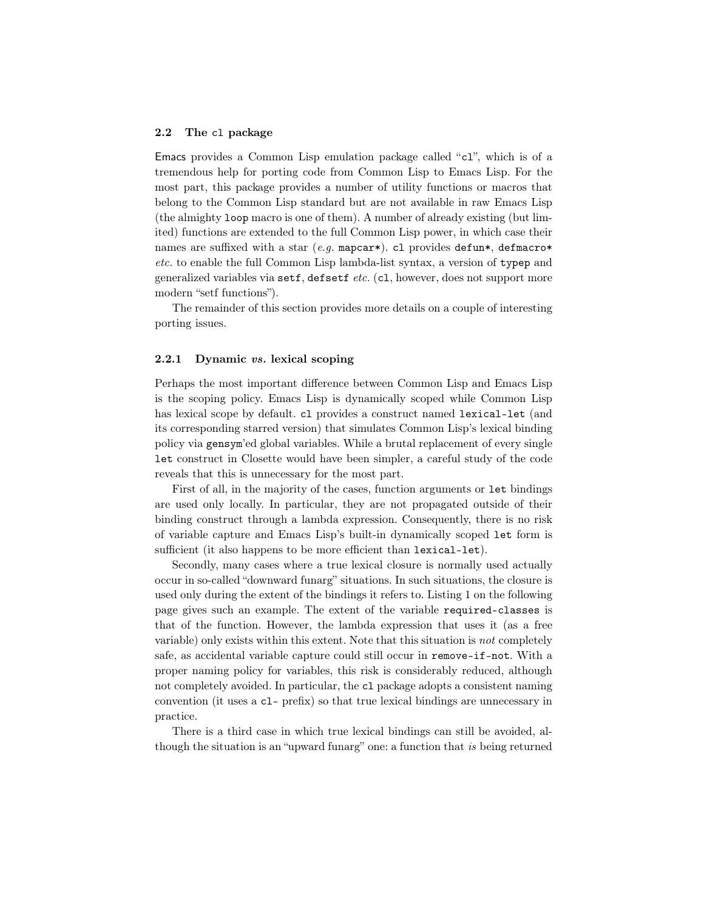### 2.2 The cl package

Emacs provides a Common Lisp emulation package called "cl", which is of a tremendous help for porting code from Common Lisp to Emacs Lisp. For the most part, this package provides a number of utility functions or macros that belong to the Common Lisp standard but are not available in raw Emacs Lisp (the almighty loop macro is one of them). A number of already existing (but limited) functions are extended to the full Common Lisp power, in which case their names are suffixed with a star (e.g. mapcar\*). cl provides defun\*, defmacro\* etc. to enable the full Common Lisp lambda-list syntax, a version of typep and generalized variables via setf, defsetf etc. (c1, however, does not support more modern "setf functions").

The remainder of this section provides more details on a couple of interesting porting issues.

# 2.2.1 Dynamic vs. lexical scoping

Perhaps the most important difference between Common Lisp and Emacs Lisp is the scoping policy. Emacs Lisp is dynamically scoped while Common Lisp has lexical scope by default. cl provides a construct named lexical-let (and its corresponding starred version) that simulates Common Lisp's lexical binding policy via gensym'ed global variables. While a brutal replacement of every single let construct in Closette would have been simpler, a careful study of the code reveals that this is unnecessary for the most part.

First of all, in the majority of the cases, function arguments or let bindings are used only locally. In particular, they are not propagated outside of their binding construct through a lambda expression. Consequently, there is no risk of variable capture and Emacs Lisp's built-in dynamically scoped let form is sufficient (it also happens to be more efficient than lexical-let).

Secondly, many cases where a true lexical closure is normally used actually occur in so-called "downward funarg" situations. In such situations, the closure is used only during the extent of the bindings it refers to. Listing 1 on the following page gives such an example. The extent of the variable required-classes is that of the function. However, the lambda expression that uses it (as a free variable) only exists within this extent. Note that this situation is not completely safe, as accidental variable capture could still occur in remove-if-not. With a proper naming policy for variables, this risk is considerably reduced, although not completely avoided. In particular, the cl package adopts a consistent naming convention (it uses a cl- prefix) so that true lexical bindings are unnecessary in practice.

There is a third case in which true lexical bindings can still be avoided, although the situation is an "upward funarg" one: a function that is being returned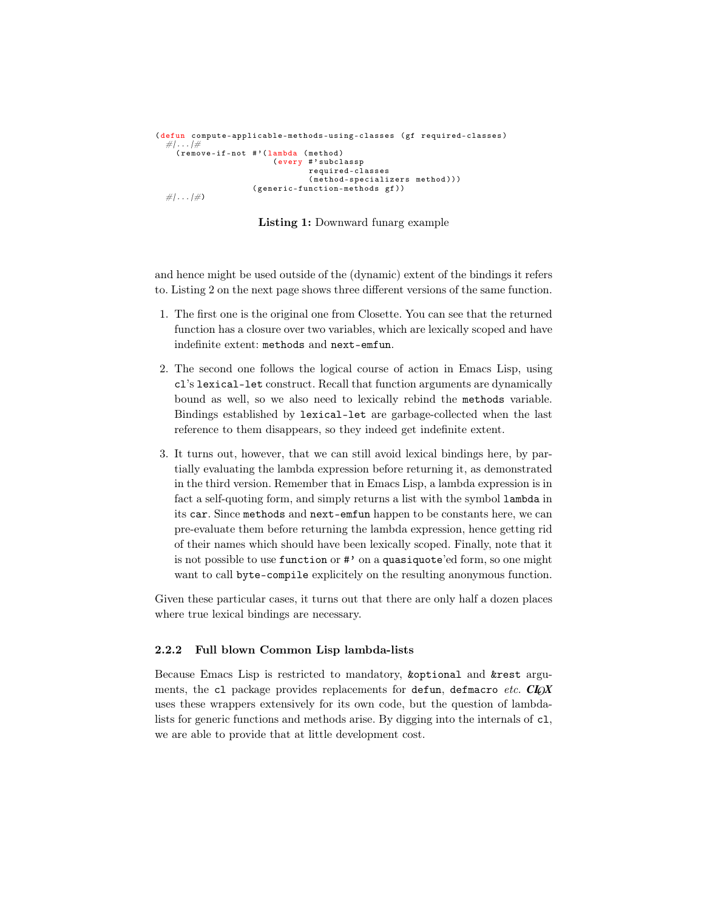```
( defun compute-applicable-methods-using-classes ( gf required-classes )
  #| . . . |#
( remove-if-not # '( lambda ( method )
                          ( every #' subclassp
                                  required-classes
                                  ( method-specializers method )))
                      ( generic-function-methods gf ))
  \#... |\#)
```
Listing 1: Downward funarg example

and hence might be used outside of the (dynamic) extent of the bindings it refers to. Listing 2 on the next page shows three different versions of the same function.

- 1. The first one is the original one from Closette. You can see that the returned function has a closure over two variables, which are lexically scoped and have indefinite extent: methods and next-emfun.
- 2. The second one follows the logical course of action in Emacs Lisp, using cl's lexical-let construct. Recall that function arguments are dynamically bound as well, so we also need to lexically rebind the methods variable. Bindings established by lexical-let are garbage-collected when the last reference to them disappears, so they indeed get indefinite extent.
- 3. It turns out, however, that we can still avoid lexical bindings here, by partially evaluating the lambda expression before returning it, as demonstrated in the third version. Remember that in Emacs Lisp, a lambda expression is in fact a self-quoting form, and simply returns a list with the symbol lambda in its car. Since methods and next-emfun happen to be constants here, we can pre-evaluate them before returning the lambda expression, hence getting rid of their names which should have been lexically scoped. Finally, note that it is not possible to use function or #' on a quasiquote'ed form, so one might want to call byte-compile explicitely on the resulting anonymous function.

Given these particular cases, it turns out that there are only half a dozen places where true lexical bindings are necessary.

# 2.2.2 Full blown Common Lisp lambda-lists

Because Emacs Lisp is restricted to mandatory, &optional and &rest arguments, the c1 package provides replacements for defun, defmacro etc. **CIOX** uses these wrappers extensively for its own code, but the question of lambdalists for generic functions and methods arise. By digging into the internals of cl, we are able to provide that at little development cost.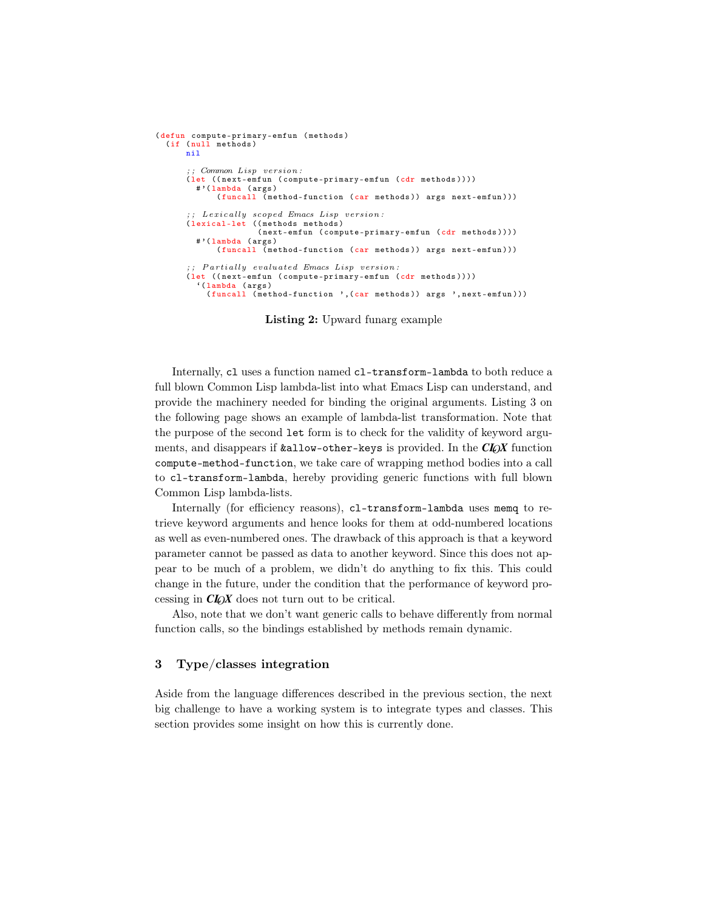```
( defun compute-primary-emfun ( methods )
  (if (null methods)
      nil
       \therefore Common Lisp version:
      ( let (( next-emfun ( compute-primary-emfun (cdr methods ))))
        # '( lambda ( args )
             ( funcall ( method-function ( car methods ) ) args next-emfun ) ) )
      ;; Lexically scoped Emacs Lisp version:
      ( lexical-let (( methods methods )
                      ( next-emfun ( compute-primary-emfun ( cdr methods ))))
         # '( lambda ( args )
             ( funcall (method-function ( car methods ) ) args next-emfun ) ) )
       ;; Partially evaluated Emacs Lisp version:
       ( let (( next-emfun ( compute-primary-emfun (cdr methods ))))
         '( lambda ( args )
           (funcall (method-function ', (car methods)) args ', next-emfun)))
```
Listing 2: Upward funarg example

Internally, cl uses a function named cl-transform-lambda to both reduce a full blown Common Lisp lambda-list into what Emacs Lisp can understand, and provide the machinery needed for binding the original arguments. Listing 3 on the following page shows an example of lambda-list transformation. Note that the purpose of the second let form is to check for the validity of keyword arguments, and disappears if  $k$ allow-other-keys is provided. In the *CLOX* function compute-method-function, we take care of wrapping method bodies into a call to cl-transform-lambda, hereby providing generic functions with full blown Common Lisp lambda-lists.

Internally (for efficiency reasons), c1-transform-lambda uses memq to retrieve keyword arguments and hence looks for them at odd-numbered locations as well as even-numbered ones. The drawback of this approach is that a keyword parameter cannot be passed as data to another keyword. Since this does not appear to be much of a problem, we didn't do anything to fix this. This could change in the future, under the condition that the performance of keyword processing in *CL*O*X* does not turn out to be critical.

Also, note that we don't want generic calls to behave differently from normal function calls, so the bindings established by methods remain dynamic.

### 3 Type/classes integration

Aside from the language differences described in the previous section, the next big challenge to have a working system is to integrate types and classes. This section provides some insight on how this is currently done.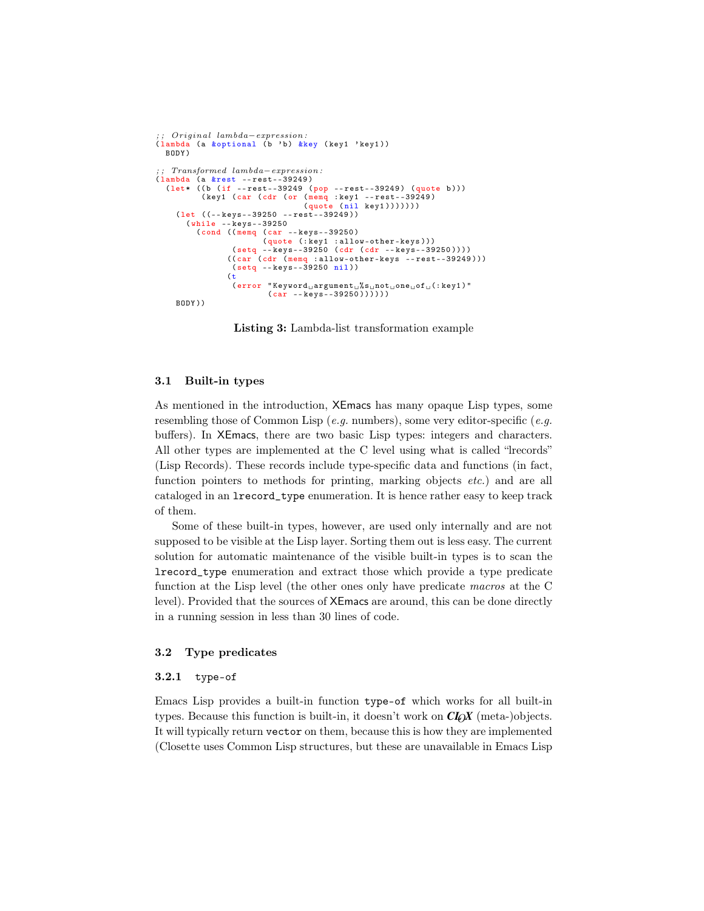```
; ; Or ig ina l lambda−expression :
( lambda (a &optional (b 'b) &key ( key1 ' key1 ))
BODY )
 ; ; Transformed lambda−expression :
( lambda (a &rest -- rest--39249 )
( let * (( b (if -- rest--39249 ( pop -- rest--39249 ) ( quote b )))
              ( key1 (car ( cdr (or ( memq : key1 -- rest--39249 )
                                             ( quote ( nil key1 ) ) ) ) ) ) )
      ( let ((-- keys--39250 -- rest--39249 ))
         ( while -- keys--39250
( cond (( memq (car -- keys--39250 )
                      (quote (:key1 :allow-other-keys))<br>(setq --keys--39250 (cdr (cdr --keys--39250)))<br>((car (cdr (memq :allow-other-keys --rest--39249)))
                       ( setq -- keys--39250 nil ))
                      (t)(error "Keywords<sub>u</sub> argument<sub>u</sub> %s<sub>u</sub>not<sub>u</sub> one<sub>u</sub> of<sub>u</sub> (:key1)"(car --keys - -39250))))BODY ))
```
Listing 3: Lambda-list transformation example

# 3.1 Built-in types

As mentioned in the introduction, XEmacs has many opaque Lisp types, some resembling those of Common Lisp (e.g. numbers), some very editor-specific (e.g. buffers). In XEmacs, there are two basic Lisp types: integers and characters. All other types are implemented at the C level using what is called "lrecords" (Lisp Records). These records include type-specific data and functions (in fact, function pointers to methods for printing, marking objects etc.) and are all cataloged in an lrecord\_type enumeration. It is hence rather easy to keep track of them.

Some of these built-in types, however, are used only internally and are not supposed to be visible at the Lisp layer. Sorting them out is less easy. The current solution for automatic maintenance of the visible built-in types is to scan the lrecord\_type enumeration and extract those which provide a type predicate function at the Lisp level (the other ones only have predicate macros at the C level). Provided that the sources of XEmacs are around, this can be done directly in a running session in less than 30 lines of code.

### 3.2 Type predicates

# 3.2.1 type-of

Emacs Lisp provides a built-in function type-of which works for all built-in types. Because this function is built-in, it doesn't work on *CL*O*X* (meta-)objects. It will typically return vector on them, because this is how they are implemented (Closette uses Common Lisp structures, but these are unavailable in Emacs Lisp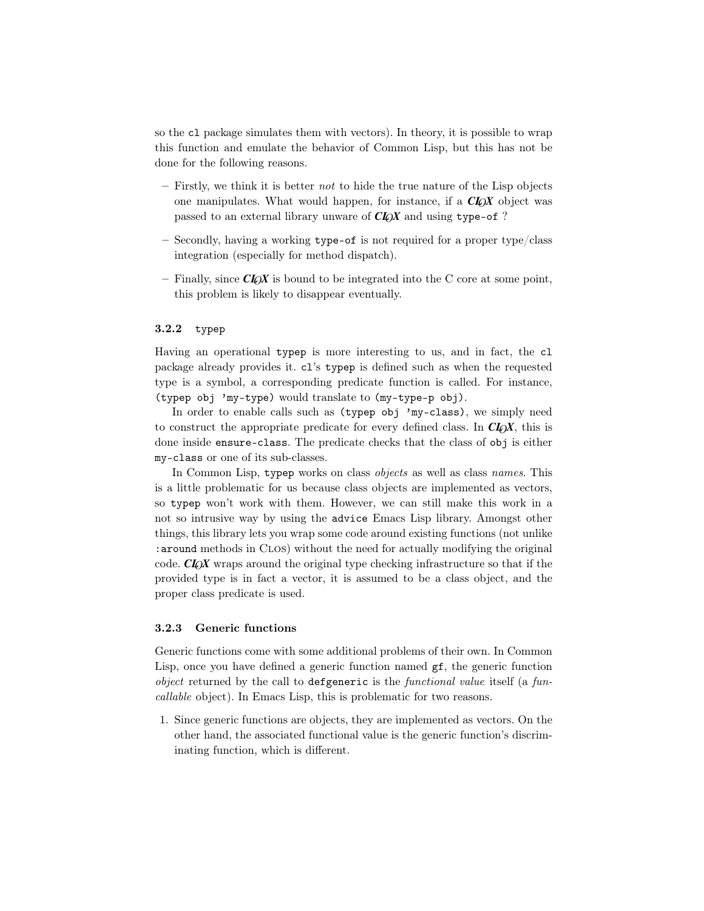so the cl package simulates them with vectors). In theory, it is possible to wrap this function and emulate the behavior of Common Lisp, but this has not be done for the following reasons.

- $-$  Firstly, we think it is better not to hide the true nature of the Lisp objects one manipulates. What would happen, for instance, if a *CL*O*X* object was passed to an external library unware of  $CI_0X$  and using type-of ?
- Secondly, having a working type-of is not required for a proper type/class integration (especially for method dispatch).
- Finally, since  $CI_0X$  is bound to be integrated into the C core at some point, this problem is likely to disappear eventually.

# 3.2.2 typep

Having an operational typep is more interesting to us, and in fact, the cl package already provides it. cl's typep is defined such as when the requested type is a symbol, a corresponding predicate function is called. For instance, (typep obj 'my-type) would translate to (my-type-p obj).

In order to enable calls such as (typep obj 'my-class), we simply need to construct the appropriate predicate for every defined class. In  $CL_0X$ , this is done inside ensure-class. The predicate checks that the class of obj is either my-class or one of its sub-classes.

In Common Lisp, typep works on class *objects* as well as class *names*. This is a little problematic for us because class objects are implemented as vectors, so typep won't work with them. However, we can still make this work in a not so intrusive way by using the advice Emacs Lisp library. Amongst other things, this library lets you wrap some code around existing functions (not unlike :around methods in Clos) without the need for actually modifying the original code. *CL*O*X* wraps around the original type checking infrastructure so that if the provided type is in fact a vector, it is assumed to be a class object, and the proper class predicate is used.

#### 3.2.3 Generic functions

Generic functions come with some additional problems of their own. In Common Lisp, once you have defined a generic function named  $gf$ , the generic function object returned by the call to defgeneric is the functional value itself (a funcallable object). In Emacs Lisp, this is problematic for two reasons.

1. Since generic functions are objects, they are implemented as vectors. On the other hand, the associated functional value is the generic function's discriminating function, which is different.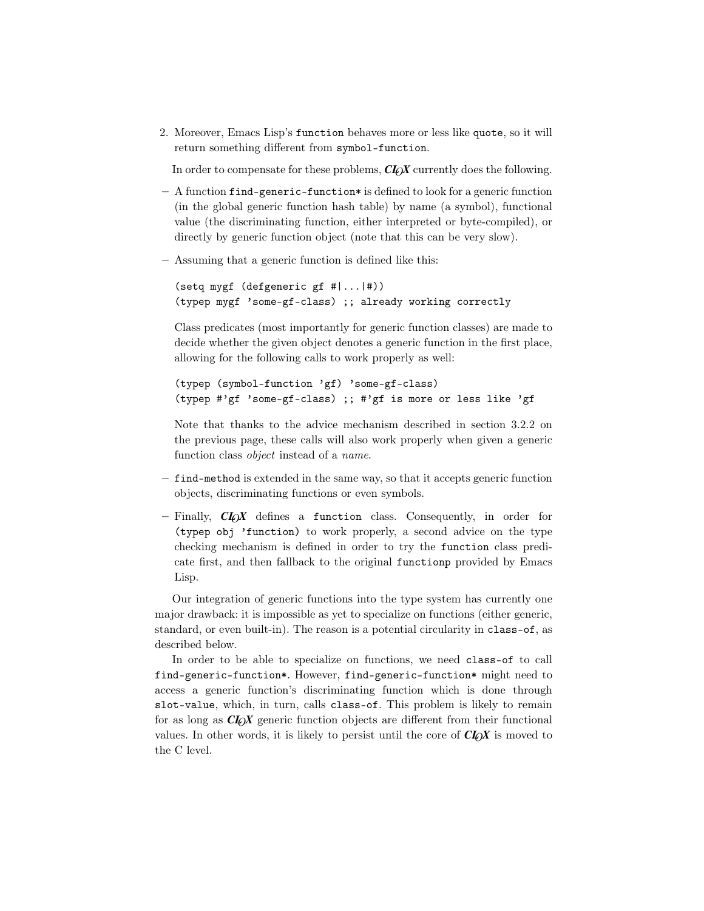2. Moreover, Emacs Lisp's function behaves more or less like quote, so it will return something different from symbol-function.

In order to compensate for these problems,  $CI_0X$  currently does the following.

- $-$  A function find-generic-function\* is defined to look for a generic function (in the global generic function hash table) by name (a symbol), functional value (the discriminating function, either interpreted or byte-compiled), or directly by generic function object (note that this can be very slow).
- Assuming that a generic function is defined like this:

```
(setq mygf (defgeneric gf #|...|#))
(typep mygf 'some-gf-class) ;; already working correctly
```
Class predicates (most importantly for generic function classes) are made to decide whether the given object denotes a generic function in the first place, allowing for the following calls to work properly as well:

```
(typep (symbol-function 'gf) 'some-gf-class)
(typep #'gf 'some-gf-class) ;; #'gf is more or less like 'gf
```
Note that thanks to the advice mechanism described in section 3.2.2 on the previous page, these calls will also work properly when given a generic function class object instead of a name.

- find-method is extended in the same way, so that it accepts generic function objects, discriminating functions or even symbols.
- $-$  Finally,  $CI_0X$  defines a function class. Consequently, in order for (typep obj 'function) to work properly, a second advice on the type checking mechanism is defined in order to try the function class predicate first, and then fallback to the original functionp provided by Emacs Lisp.

Our integration of generic functions into the type system has currently one major drawback: it is impossible as yet to specialize on functions (either generic, standard, or even built-in). The reason is a potential circularity in class-of, as described below.

In order to be able to specialize on functions, we need class-of to call find-generic-function\*. However, find-generic-function\* might need to access a generic function's discriminating function which is done through slot-value, which, in turn, calls class-of. This problem is likely to remain for as long as *CL*O*X* generic function objects are different from their functional values. In other words, it is likely to persist until the core of  $\mathbb{C}I_0\chi$  is moved to the C level.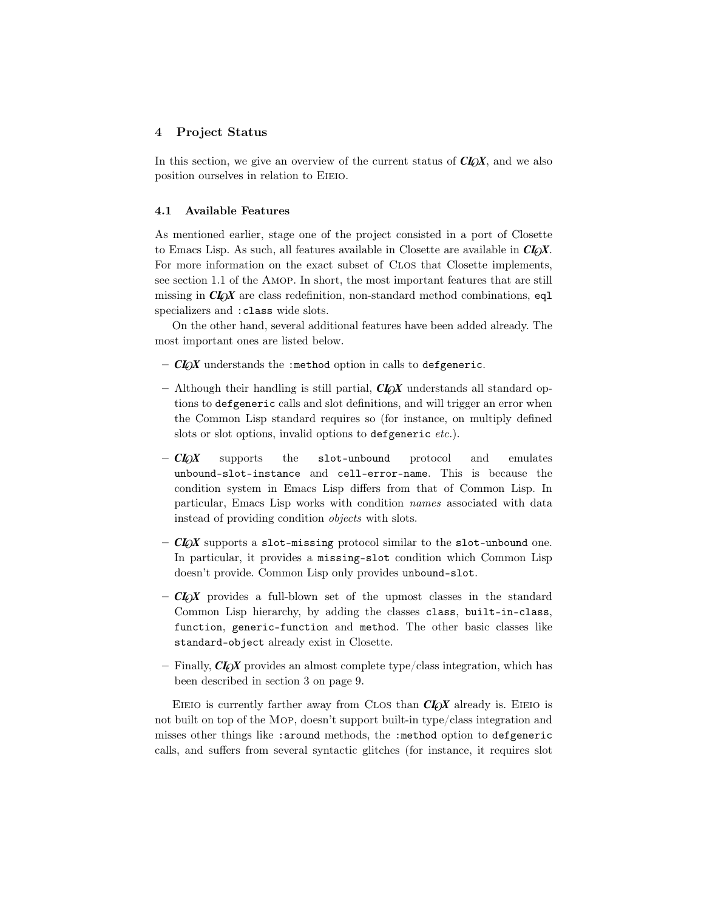# 4 Project Status

In this section, we give an overview of the current status of  $CL_0X$ , and we also position ourselves in relation to Eieio.

### 4.1 Available Features

As mentioned earlier, stage one of the project consisted in a port of Closette to Emacs Lisp. As such, all features available in Closette are available in  $Cl_0X$ . For more information on the exact subset of Clos that Closette implements, see section 1.1 of the Amop. In short, the most important features that are still missing in *CL*O*X* are class redefinition, non-standard method combinations, eql specializers and :class wide slots.

On the other hand, several additional features have been added already. The most important ones are listed below.

- $-$  *CLOX* understands the :method option in calls to defgeneric.
- Although their handling is still partial, *CL*O*X* understands all standard options to defgeneric calls and slot definitions, and will trigger an error when the Common Lisp standard requires so (for instance, on multiply defined slots or slot options, invalid options to defgeneric *etc.*).
- *CL*O*X* supports the slot-unbound protocol and emulates unbound-slot-instance and cell-error-name. This is because the condition system in Emacs Lisp differs from that of Common Lisp. In particular, Emacs Lisp works with condition names associated with data instead of providing condition objects with slots.
- $-$  *CLOX* supports a slot-missing protocol similar to the slot-unbound one. In particular, it provides a missing-slot condition which Common Lisp doesn't provide. Common Lisp only provides unbound-slot.
- *CL*O*X* provides a full-blown set of the upmost classes in the standard Common Lisp hierarchy, by adding the classes class, built-in-class, function, generic-function and method. The other basic classes like standard-object already exist in Closette.
- $-$  Finally, *CLOX* provides an almost complete type/class integration, which has been described in section 3 on page 9.

EIEIO is currently farther away from CLOS than **CLOX** already is. EIEIO is not built on top of the Mop, doesn't support built-in type/class integration and misses other things like :around methods, the :method option to defgeneric calls, and suffers from several syntactic glitches (for instance, it requires slot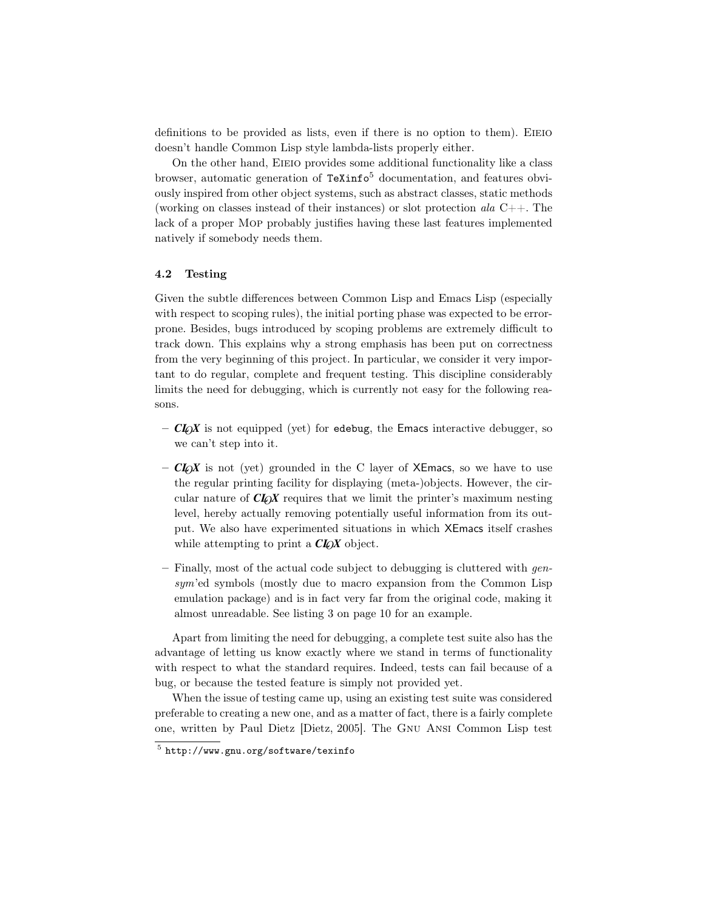definitions to be provided as lists, even if there is no option to them). EIEIO doesn't handle Common Lisp style lambda-lists properly either.

On the other hand, Eieio provides some additional functionality like a class browser, automatic generation of  $\text{TeXinfo}^5$  documentation, and features obviously inspired from other object systems, such as abstract classes, static methods (working on classes instead of their instances) or slot protection ala  $C_{++}$ . The lack of a proper Mop probably justifies having these last features implemented natively if somebody needs them.

# 4.2 Testing

Given the subtle differences between Common Lisp and Emacs Lisp (especially with respect to scoping rules), the initial porting phase was expected to be errorprone. Besides, bugs introduced by scoping problems are extremely difficult to track down. This explains why a strong emphasis has been put on correctness from the very beginning of this project. In particular, we consider it very important to do regular, complete and frequent testing. This discipline considerably limits the need for debugging, which is currently not easy for the following reasons.

- $-$  *CLOX* is not equipped (yet) for edebug, the Emacs interactive debugger, so we can't step into it.
- $-$  *CLOX* is not (yet) grounded in the C layer of XEmacs, so we have to use the regular printing facility for displaying (meta-)objects. However, the circular nature of *CL*O*X* requires that we limit the printer's maximum nesting level, hereby actually removing potentially useful information from its output. We also have experimented situations in which XEmacs itself crashes while attempting to print a *CLOX* object.
- $-$  Finally, most of the actual code subject to debugging is cluttered with gensym'ed symbols (mostly due to macro expansion from the Common Lisp emulation package) and is in fact very far from the original code, making it almost unreadable. See listing 3 on page 10 for an example.

Apart from limiting the need for debugging, a complete test suite also has the advantage of letting us know exactly where we stand in terms of functionality with respect to what the standard requires. Indeed, tests can fail because of a bug, or because the tested feature is simply not provided yet.

When the issue of testing came up, using an existing test suite was considered preferable to creating a new one, and as a matter of fact, there is a fairly complete one, written by Paul Dietz [Dietz, 2005]. The Gnu Ansi Common Lisp test

<sup>5</sup> http://www.gnu.org/software/texinfo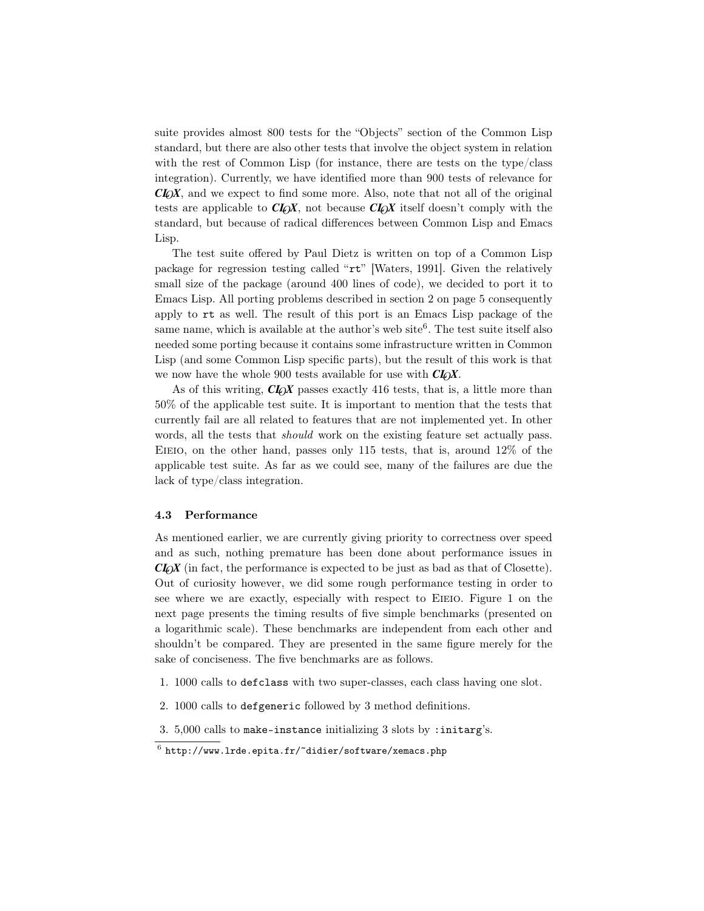suite provides almost 800 tests for the "Objects" section of the Common Lisp standard, but there are also other tests that involve the object system in relation with the rest of Common Lisp (for instance, there are tests on the type/class integration). Currently, we have identified more than 900 tests of relevance for *CL*O*X*, and we expect to find some more. Also, note that not all of the original tests are applicable to *CL*O*X*, not because *CL*O*X* itself doesn't comply with the standard, but because of radical differences between Common Lisp and Emacs Lisp.

The test suite offered by Paul Dietz is written on top of a Common Lisp package for regression testing called "rt" [Waters, 1991]. Given the relatively small size of the package (around 400 lines of code), we decided to port it to Emacs Lisp. All porting problems described in section 2 on page 5 consequently apply to rt as well. The result of this port is an Emacs Lisp package of the same name, which is available at the author's web site<sup>6</sup>. The test suite itself also needed some porting because it contains some infrastructure written in Common Lisp (and some Common Lisp specific parts), but the result of this work is that we now have the whole 900 tests available for use with  $CI_0X$ .

As of this writing, *CLOX* passes exactly 416 tests, that is, a little more than 50% of the applicable test suite. It is important to mention that the tests that currently fail are all related to features that are not implemented yet. In other words, all the tests that *should* work on the existing feature set actually pass. EIEIO, on the other hand, passes only  $115$  tests, that is, around  $12\%$  of the applicable test suite. As far as we could see, many of the failures are due the lack of type/class integration.

#### 4.3 Performance

As mentioned earlier, we are currently giving priority to correctness over speed and as such, nothing premature has been done about performance issues in *CL*O*X* (in fact, the performance is expected to be just as bad as that of Closette). Out of curiosity however, we did some rough performance testing in order to see where we are exactly, especially with respect to Eieio. Figure 1 on the next page presents the timing results of five simple benchmarks (presented on a logarithmic scale). These benchmarks are independent from each other and shouldn't be compared. They are presented in the same figure merely for the sake of conciseness. The five benchmarks are as follows.

- 1. 1000 calls to defclass with two super-classes, each class having one slot.
- 2. 1000 calls to defgeneric followed by 3 method definitions.
- 3. 5,000 calls to make-instance initializing 3 slots by :initarg's.

 $^6$  http://www.lrde.epita.fr/~didier/software/xemacs.php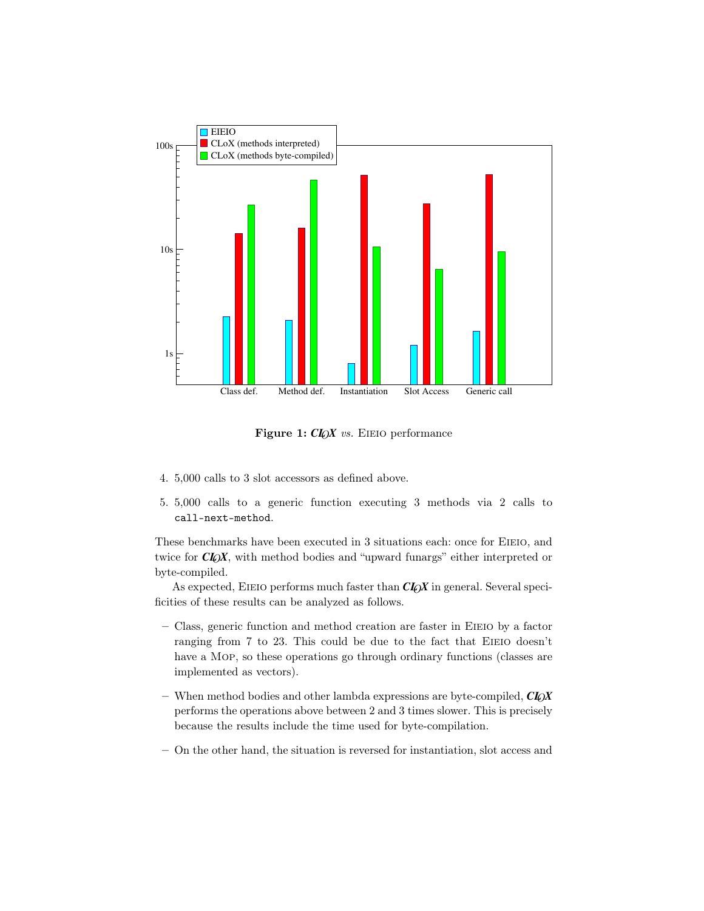

Figure 1: *CLOX* vs. EIEIO performance

- 4. 5,000 calls to 3 slot accessors as defined above.
- 5. 5,000 calls to a generic function executing 3 methods via 2 calls to call-next-method.

These benchmarks have been executed in 3 situations each: once for EIEIO, and twice for *CLOX*, with method bodies and "upward funargs" either interpreted or byte-compiled.

As expected, EIEIO performs much faster than  $CI_0X$  in general. Several specificities of these results can be analyzed as follows.

- Class, generic function and method creation are faster in Eieio by a factor ranging from 7 to 23. This could be due to the fact that EIEIO doesn't have a Mop, so these operations go through ordinary functions (classes are implemented as vectors).
- When method bodies and other lambda expressions are byte-compiled,  $CI_QX$ performs the operations above between 2 and 3 times slower. This is precisely because the results include the time used for byte-compilation.
- On the other hand, the situation is reversed for instantiation, slot access and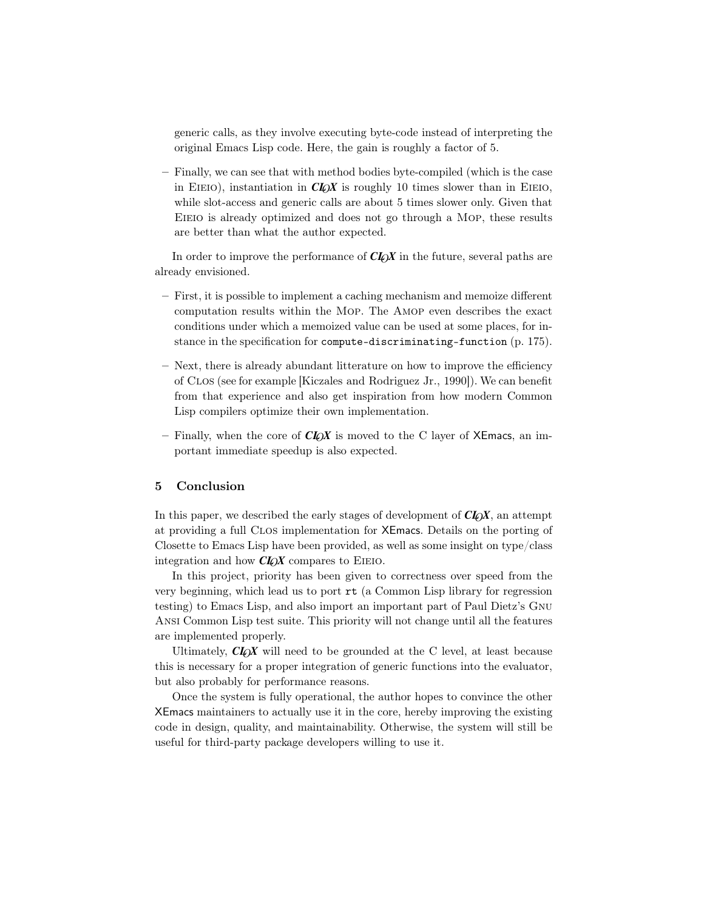generic calls, as they involve executing byte-code instead of interpreting the original Emacs Lisp code. Here, the gain is roughly a factor of 5.

– Finally, we can see that with method bodies byte-compiled (which is the case in EIEIO), instantiation in  $Cl_0X$  is roughly 10 times slower than in EIEIO, while slot-access and generic calls are about 5 times slower only. Given that EIEIO is already optimized and does not go through a MOP, these results are better than what the author expected.

In order to improve the performance of *CL*O*X* in the future, several paths are already envisioned.

- First, it is possible to implement a caching mechanism and memoize different computation results within the Mop. The Amop even describes the exact conditions under which a memoized value can be used at some places, for instance in the specification for compute-discriminating-function (p. 175).
- Next, there is already abundant litterature on how to improve the efficiency of Clos (see for example [Kiczales and Rodriguez Jr., 1990]). We can benefit from that experience and also get inspiration from how modern Common Lisp compilers optimize their own implementation.
- Finally, when the core of  $CI_0X$  is moved to the C layer of XEmacs, an important immediate speedup is also expected.

# 5 Conclusion

In this paper, we described the early stages of development of  $CI_0X$ , an attempt at providing a full Clos implementation for XEmacs. Details on the porting of Closette to Emacs Lisp have been provided, as well as some insight on type/class integration and how *CL*O*X* compares to Eieio.

In this project, priority has been given to correctness over speed from the very beginning, which lead us to port rt (a Common Lisp library for regression testing) to Emacs Lisp, and also import an important part of Paul Dietz's Gnu Ansi Common Lisp test suite. This priority will not change until all the features are implemented properly.

Ultimately,  $CL_0X$  will need to be grounded at the C level, at least because this is necessary for a proper integration of generic functions into the evaluator, but also probably for performance reasons.

Once the system is fully operational, the author hopes to convince the other XEmacs maintainers to actually use it in the core, hereby improving the existing code in design, quality, and maintainability. Otherwise, the system will still be useful for third-party package developers willing to use it.